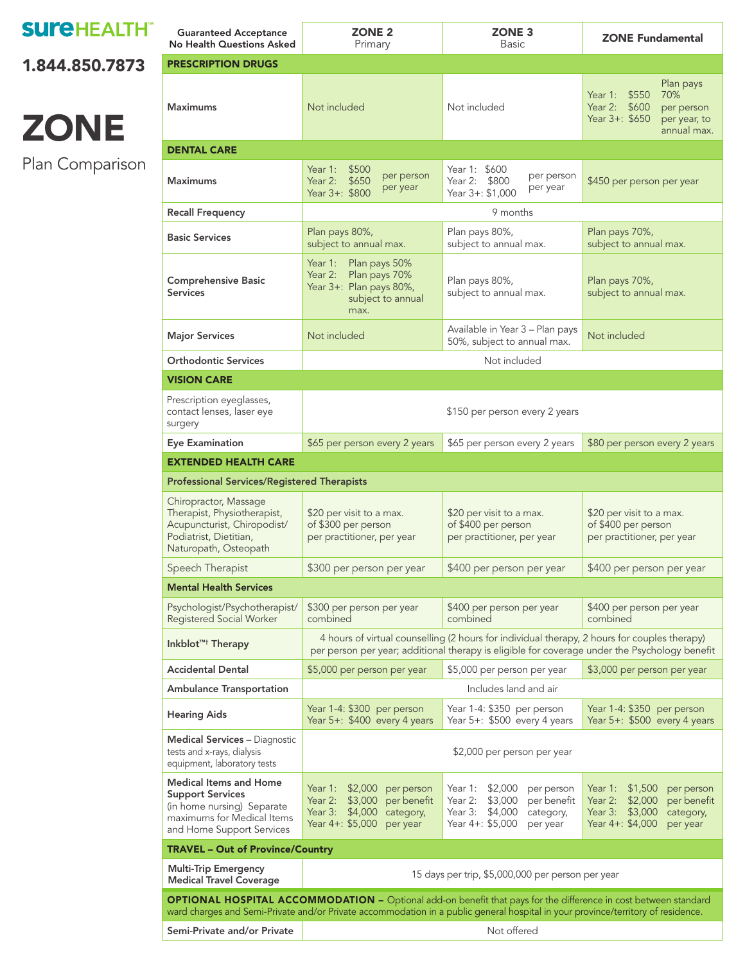### **SUI'EHEALTH**

[1.844.850.7873](tel:18448507873) 

# **ZONE**

Plan Comparison

| <b>Guaranteed Acceptance</b><br>No Health Questions Asked                                                                                                                                                                                                  | <b>ZONE 2</b><br>Primary                                                                                                                                                                      | <b>ZONE 3</b><br><b>Basic</b>                                                                                                         | <b>ZONE Fundamental</b>                                                                                                         |  |  |  |  |
|------------------------------------------------------------------------------------------------------------------------------------------------------------------------------------------------------------------------------------------------------------|-----------------------------------------------------------------------------------------------------------------------------------------------------------------------------------------------|---------------------------------------------------------------------------------------------------------------------------------------|---------------------------------------------------------------------------------------------------------------------------------|--|--|--|--|
| <b>PRESCRIPTION DRUGS</b>                                                                                                                                                                                                                                  |                                                                                                                                                                                               |                                                                                                                                       |                                                                                                                                 |  |  |  |  |
| <b>Maximums</b>                                                                                                                                                                                                                                            | Not included                                                                                                                                                                                  | Not included                                                                                                                          | Plan pays<br>70%<br>Year 1: \$550<br>Year 2: \$600<br>per person<br>Year 3+: \$650<br>per year, to<br>annual max.               |  |  |  |  |
| <b>DENTAL CARE</b>                                                                                                                                                                                                                                         |                                                                                                                                                                                               |                                                                                                                                       |                                                                                                                                 |  |  |  |  |
| Maximums                                                                                                                                                                                                                                                   | Year 1:<br>\$500<br>per person<br>\$650<br>Year 2:<br>per year<br>Year 3+: \$800                                                                                                              | Year 1: \$600<br>per person<br>Year 2: \$800<br>per year<br>Year 3+: \$1,000                                                          | \$450 per person per year                                                                                                       |  |  |  |  |
| <b>Recall Frequency</b>                                                                                                                                                                                                                                    | 9 months                                                                                                                                                                                      |                                                                                                                                       |                                                                                                                                 |  |  |  |  |
| <b>Basic Services</b>                                                                                                                                                                                                                                      | Plan pays 80%,<br>subject to annual max.                                                                                                                                                      | Plan pays 80%,<br>subject to annual max.                                                                                              | Plan pays 70%,<br>subject to annual max.                                                                                        |  |  |  |  |
| <b>Comprehensive Basic</b><br><b>Services</b>                                                                                                                                                                                                              | Year 1: Plan pays 50%<br>Year 2:<br>Plan pays 70%<br>Year 3+: Plan pays 80%,<br>subject to annual<br>max.                                                                                     | Plan pays 80%,<br>subject to annual max.                                                                                              | Plan pays 70%,<br>subject to annual max.                                                                                        |  |  |  |  |
| <b>Major Services</b>                                                                                                                                                                                                                                      | Not included                                                                                                                                                                                  | Not included                                                                                                                          |                                                                                                                                 |  |  |  |  |
| <b>Orthodontic Services</b>                                                                                                                                                                                                                                | Not included                                                                                                                                                                                  |                                                                                                                                       |                                                                                                                                 |  |  |  |  |
| <b>VISION CARE</b>                                                                                                                                                                                                                                         |                                                                                                                                                                                               |                                                                                                                                       |                                                                                                                                 |  |  |  |  |
| Prescription eyeglasses,<br>contact lenses, laser eye<br>surgery                                                                                                                                                                                           | \$150 per person every 2 years                                                                                                                                                                |                                                                                                                                       |                                                                                                                                 |  |  |  |  |
| <b>Eye Examination</b>                                                                                                                                                                                                                                     | \$65 per person every 2 years                                                                                                                                                                 | \$65 per person every 2 years                                                                                                         | \$80 per person every 2 years                                                                                                   |  |  |  |  |
| <b>EXTENDED HEALTH CARE</b>                                                                                                                                                                                                                                |                                                                                                                                                                                               |                                                                                                                                       |                                                                                                                                 |  |  |  |  |
| <b>Professional Services/Registered Therapists</b>                                                                                                                                                                                                         |                                                                                                                                                                                               |                                                                                                                                       |                                                                                                                                 |  |  |  |  |
| Chiropractor, Massage<br>Therapist, Physiotherapist,<br>Acupuncturist, Chiropodist/<br>Podiatrist, Dietitian,<br>Naturopath, Osteopath                                                                                                                     | \$20 per visit to a max.<br>\$20 per visit to a max.<br>of \$300 per person<br>of \$400 per person<br>per practitioner, per year<br>per practitioner, per year                                |                                                                                                                                       | \$20 per visit to a max.<br>of \$400 per person<br>per practitioner, per year                                                   |  |  |  |  |
| Speech Therapist                                                                                                                                                                                                                                           | \$300 per person per year<br>\$400 per person per year<br>\$400 per person per year                                                                                                           |                                                                                                                                       |                                                                                                                                 |  |  |  |  |
| <b>Mental Health Services</b>                                                                                                                                                                                                                              |                                                                                                                                                                                               |                                                                                                                                       |                                                                                                                                 |  |  |  |  |
| Psychologist/Psychotherapist/<br>Registered Social Worker                                                                                                                                                                                                  | \$300 per person per year<br>combined                                                                                                                                                         | \$400 per person per year<br>combined                                                                                                 | \$400 per person per year<br>combined                                                                                           |  |  |  |  |
| Inkblot <sup>TM+</sup> Therapy                                                                                                                                                                                                                             | 4 hours of virtual counselling (2 hours for individual therapy, 2 hours for couples therapy)<br>per person per year; additional therapy is eligible for coverage under the Psychology benefit |                                                                                                                                       |                                                                                                                                 |  |  |  |  |
| <b>Accidental Dental</b>                                                                                                                                                                                                                                   | \$5,000 per person per year<br>\$5,000 per person per year<br>\$3,000 per person per year                                                                                                     |                                                                                                                                       |                                                                                                                                 |  |  |  |  |
| <b>Ambulance Transportation</b>                                                                                                                                                                                                                            | Includes land and air                                                                                                                                                                         |                                                                                                                                       |                                                                                                                                 |  |  |  |  |
| <b>Hearing Aids</b>                                                                                                                                                                                                                                        | Year 1-4: \$300 per person<br>Year 5+: \$400 every 4 years                                                                                                                                    | Year 1-4: \$350 per person<br>Year 5+: \$500 every 4 years                                                                            | Year 1-4: \$350 per person<br>Year 5+: \$500 every 4 years                                                                      |  |  |  |  |
| <b>Medical Services - Diagnostic</b><br>tests and x-rays, dialysis<br>equipment, laboratory tests                                                                                                                                                          | \$2,000 per person per year                                                                                                                                                                   |                                                                                                                                       |                                                                                                                                 |  |  |  |  |
| <b>Medical Items and Home</b><br><b>Support Services</b><br>(in home nursing) Separate<br>maximums for Medical Items<br>and Home Support Services                                                                                                          | Year 1:<br>\$2,000<br>per person<br>Year 2:<br>\$3,000<br>per benefit<br>Year 3: \$4,000<br>category,<br>Year 4+: \$5,000<br>per year                                                         | Year 1: \$2,000<br>per person<br>\$3,000<br>per benefit<br>Year 2:<br>\$4,000<br>Year 3:<br>category,<br>Year 4+: \$5,000<br>per year | Year 1: \$1,500<br>per person<br>Year 2: \$2,000<br>per benefit<br>Year 3: \$3,000<br>category,<br>Year 4+: \$4,000<br>per year |  |  |  |  |
| <b>TRAVEL - Out of Province/Country</b>                                                                                                                                                                                                                    |                                                                                                                                                                                               |                                                                                                                                       |                                                                                                                                 |  |  |  |  |
| <b>Multi-Trip Emergency</b><br><b>Medical Travel Coverage</b>                                                                                                                                                                                              | 15 days per trip, \$5,000,000 per person per year                                                                                                                                             |                                                                                                                                       |                                                                                                                                 |  |  |  |  |
| <b>OPTIONAL HOSPITAL ACCOMMODATION -</b> Optional add-on benefit that pays for the difference in cost between standard<br>ward charges and Semi-Private and/or Private accommodation in a public general hospital in your province/territory of residence. |                                                                                                                                                                                               |                                                                                                                                       |                                                                                                                                 |  |  |  |  |
| Semi-Private and/or Private                                                                                                                                                                                                                                | Not offered                                                                                                                                                                                   |                                                                                                                                       |                                                                                                                                 |  |  |  |  |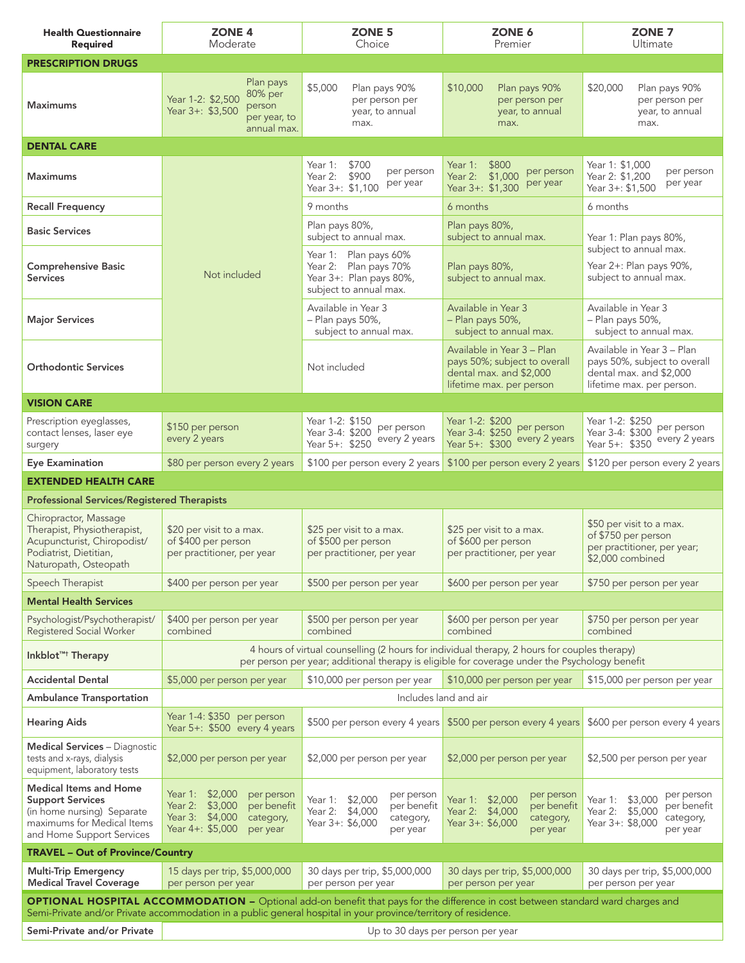| <b>Health Questionnaire</b><br>Required                                                                                                                                                                                                                    | <b>ZONE 4</b><br>Moderate                                                                                                                                                                     | ZONE <sub>5</sub><br>Choice                                                                                  | ZONE 6<br>Premier                                                                                                 | ZONE <sub>7</sub><br>Ultimate                                                                                      |  |  |
|------------------------------------------------------------------------------------------------------------------------------------------------------------------------------------------------------------------------------------------------------------|-----------------------------------------------------------------------------------------------------------------------------------------------------------------------------------------------|--------------------------------------------------------------------------------------------------------------|-------------------------------------------------------------------------------------------------------------------|--------------------------------------------------------------------------------------------------------------------|--|--|
| <b>PRESCRIPTION DRUGS</b>                                                                                                                                                                                                                                  |                                                                                                                                                                                               |                                                                                                              |                                                                                                                   |                                                                                                                    |  |  |
| <b>Maximums</b>                                                                                                                                                                                                                                            | Plan pays<br>80% per<br>Year 1-2: \$2,500<br>person<br>Year 3+: \$3,500<br>per year, to<br>annual max.                                                                                        | \$5,000<br>Plan pays 90%<br>per person per<br>year, to annual<br>max.                                        | \$10,000<br>Plan pays 90%<br>per person per<br>year, to annual<br>max.                                            | \$20,000<br>Plan pays 90%<br>per person per<br>year, to annual<br>max.                                             |  |  |
| <b>DENTAL CARE</b>                                                                                                                                                                                                                                         |                                                                                                                                                                                               |                                                                                                              |                                                                                                                   |                                                                                                                    |  |  |
| <b>Maximums</b>                                                                                                                                                                                                                                            |                                                                                                                                                                                               | \$700<br>Year 1:<br>per person<br>\$900<br>Year 2:<br>per year<br>Year 3+: \$1,100                           | \$800<br>Year 1:<br>per person<br>Year 2: \$1,000<br>per year<br>Year 3+: \$1,300                                 | Year 1: \$1,000<br>per person<br>Year 2: \$1,200<br>per year<br>Year 3+: \$1.500                                   |  |  |
| <b>Recall Frequency</b>                                                                                                                                                                                                                                    |                                                                                                                                                                                               | 9 months                                                                                                     | 6 months                                                                                                          | 6 months                                                                                                           |  |  |
| <b>Basic Services</b>                                                                                                                                                                                                                                      |                                                                                                                                                                                               | Plan pays 80%,<br>subject to annual max.                                                                     | Plan pays 80%,<br>subject to annual max.                                                                          | Year 1: Plan pays 80%,                                                                                             |  |  |
| <b>Comprehensive Basic</b><br><b>Services</b>                                                                                                                                                                                                              | Not included                                                                                                                                                                                  | Year 1: Plan pays 60%<br>Year 2: Plan pays 70%<br>Year 3+: Plan pays 80%,<br>subject to annual max.          | Plan pays 80%,<br>subject to annual max.                                                                          | subject to annual max.<br>Year 2+: Plan pays 90%,<br>subject to annual max.                                        |  |  |
| <b>Major Services</b>                                                                                                                                                                                                                                      |                                                                                                                                                                                               | Available in Year 3<br>- Plan pays 50%,<br>subject to annual max.                                            | Available in Year 3<br>- Plan pays 50%,<br>subject to annual max.                                                 | Available in Year 3<br>- Plan pays 50%,<br>subject to annual max.                                                  |  |  |
| <b>Orthodontic Services</b>                                                                                                                                                                                                                                |                                                                                                                                                                                               | Not included                                                                                                 | Available in Year 3 - Plan<br>pays 50%; subject to overall<br>dental max. and \$2,000<br>lifetime max. per person | Available in Year 3 - Plan<br>pays 50%, subject to overall<br>dental max. and \$2,000<br>lifetime max. per person. |  |  |
| <b>VISION CARE</b>                                                                                                                                                                                                                                         |                                                                                                                                                                                               |                                                                                                              |                                                                                                                   |                                                                                                                    |  |  |
| Prescription eyeglasses,<br>contact lenses, laser eye<br>surgery                                                                                                                                                                                           | \$150 per person<br>every 2 years                                                                                                                                                             | Year 1-2: \$150<br>per person<br>Year 3-4: \$200<br>every 2 years<br>Year 5+: \$250                          | Year 1-2: \$200<br>per person<br>Year 3-4: \$250<br>every 2 years<br>Year 5+: \$300                               | Year 1-2: \$250<br>per person<br>Year 3-4: \$300<br>every 2 years<br>Year 5+: \$350                                |  |  |
| <b>Eye Examination</b>                                                                                                                                                                                                                                     | \$80 per person every 2 years                                                                                                                                                                 | \$100 per person every 2 years                                                                               | \$100 per person every 2 years                                                                                    | \$120 per person every 2 years                                                                                     |  |  |
| <b>EXTENDED HEALTH CARE</b>                                                                                                                                                                                                                                |                                                                                                                                                                                               |                                                                                                              |                                                                                                                   |                                                                                                                    |  |  |
| <b>Professional Services/Registered Therapists</b>                                                                                                                                                                                                         |                                                                                                                                                                                               |                                                                                                              |                                                                                                                   |                                                                                                                    |  |  |
| Chiropractor, Massage<br>Therapist, Physiotherapist,<br>Acupuncturist, Chiropodist/<br>Podiatrist, Dietitian,<br>Naturopath, Osteopath                                                                                                                     | \$20 per visit to a max.<br>of \$400 per person<br>per practitioner, per year                                                                                                                 | \$25 per visit to a max.<br>of \$500 per person<br>per practitioner, per year                                | \$25 per visit to a max.<br>of \$600 per person<br>per practitioner, per year                                     | \$50 per visit to a max.<br>of \$750 per person<br>per practitioner, per year;<br>\$2,000 combined                 |  |  |
| Speech Therapist                                                                                                                                                                                                                                           | \$400 per person per year                                                                                                                                                                     | \$500 per person per year                                                                                    | \$600 per person per year                                                                                         | \$750 per person per year                                                                                          |  |  |
| <b>Mental Health Services</b>                                                                                                                                                                                                                              |                                                                                                                                                                                               |                                                                                                              |                                                                                                                   |                                                                                                                    |  |  |
| Psychologist/Psychotherapist/<br>Registered Social Worker                                                                                                                                                                                                  | \$400 per person per year<br>combined                                                                                                                                                         | \$500 per person per year<br>combined                                                                        | \$600 per person per year<br>combined                                                                             | \$750 per person per year<br>combined                                                                              |  |  |
| Inkblot <sup>™†</sup> Therapy                                                                                                                                                                                                                              | 4 hours of virtual counselling (2 hours for individual therapy, 2 hours for couples therapy)<br>per person per year; additional therapy is eligible for coverage under the Psychology benefit |                                                                                                              |                                                                                                                   |                                                                                                                    |  |  |
| <b>Accidental Dental</b>                                                                                                                                                                                                                                   | \$5,000 per person per year<br>\$10,000 per person per year<br>\$10,000 per person per year<br>\$15,000 per person per year                                                                   |                                                                                                              |                                                                                                                   |                                                                                                                    |  |  |
| <b>Ambulance Transportation</b>                                                                                                                                                                                                                            | Includes land and air                                                                                                                                                                         |                                                                                                              |                                                                                                                   |                                                                                                                    |  |  |
| <b>Hearing Aids</b>                                                                                                                                                                                                                                        | Year 1-4: \$350 per person<br>Year 5+: \$500 every 4 years                                                                                                                                    | \$500 per person every 4 years                                                                               | \$500 per person every 4 years                                                                                    | \$600 per person every 4 years                                                                                     |  |  |
| <b>Medical Services - Diagnostic</b><br>tests and x-rays, dialysis<br>equipment, laboratory tests                                                                                                                                                          | \$2,000 per person per year                                                                                                                                                                   | \$2,000 per person per year                                                                                  | \$2,000 per person per year                                                                                       | \$2,500 per person per year                                                                                        |  |  |
| <b>Medical Items and Home</b><br><b>Support Services</b><br>(in home nursing) Separate<br>maximums for Medical Items<br>and Home Support Services                                                                                                          | Year 1: \$2,000<br>per person<br>Year 2: \$3,000<br>per benefit<br>Year 3: \$4,000<br>category,<br>Year $4+$ : \$5,000<br>per year                                                            | per person<br>Year 1: \$2,000<br>per benefit<br>Year 2: \$4,000<br>category,<br>Year 3+: \$6,000<br>per year | per person<br>Year 1: \$2,000<br>per benefit<br>Year 2: \$4,000<br>category,<br>Year 3+: \$6,000<br>per year      | per person<br>Year 1: \$3,000<br>per benefit<br>Year 2: \$5,000<br>category,<br>Year 3+: \$8,000<br>per year       |  |  |
| <b>TRAVEL - Out of Province/Country</b>                                                                                                                                                                                                                    |                                                                                                                                                                                               |                                                                                                              |                                                                                                                   |                                                                                                                    |  |  |
| <b>Multi-Trip Emergency</b><br><b>Medical Travel Coverage</b>                                                                                                                                                                                              | 15 days per trip, \$5,000,000<br>per person per year                                                                                                                                          | 30 days per trip, \$5,000,000<br>per person per year                                                         | 30 days per trip, \$5,000,000<br>per person per year                                                              | 30 days per trip, \$5,000,000<br>per person per year                                                               |  |  |
| <b>OPTIONAL HOSPITAL ACCOMMODATION -</b> Optional add-on benefit that pays for the difference in cost between standard ward charges and<br>Semi-Private and/or Private accommodation in a public general hospital in your province/territory of residence. |                                                                                                                                                                                               |                                                                                                              |                                                                                                                   |                                                                                                                    |  |  |
| Semi-Private and/or Private                                                                                                                                                                                                                                |                                                                                                                                                                                               | Up to 30 days per person per year                                                                            |                                                                                                                   |                                                                                                                    |  |  |